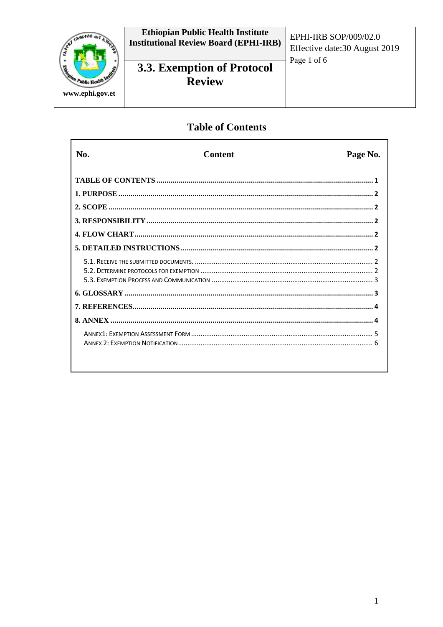

# 3.3. Exemption of Protocol **Review**

EPHI-IRB SOP/009/02.0 Effective date: 30 August 2019 Page 1 of 6

## **Table of Contents**

| No. | <b>Content</b> | Page No. |
|-----|----------------|----------|
|     |                |          |
|     |                |          |
|     |                |          |
|     |                |          |
|     |                |          |
|     |                |          |
|     |                |          |
|     |                |          |
|     |                |          |
|     |                |          |
|     |                |          |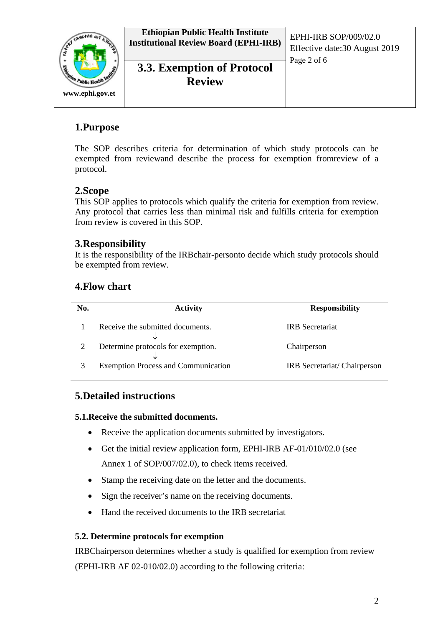

**Ethiopian Public Health Institute Institutional Review Board (EPHI-IRB)** EPHI-IRB SOP/009/02.0

**3.3. Exemption of Protocol Review**

Effective date:30 August 2019 Page 2 of 6

## **1.Purpose**

The SOP describes criteria for determination of which study protocols can be exempted from reviewand describe the process for exemption fromreview of a protocol.

## **2.Scope**

This SOP applies to protocols which qualify the criteria for exemption from review. Any protocol that carries less than minimal risk and fulfills criteria for exemption from review is covered in this SOP.

## **3.Responsibility**

It is the responsibility of the IRBchair-personto decide which study protocols should be exempted from review.

## **4.Flow chart**

| No. | <b>Activity</b>                            | <b>Responsibility</b>       |
|-----|--------------------------------------------|-----------------------------|
|     | Receive the submitted documents.           | <b>IRB</b> Secretariat      |
|     | Determine protocols for exemption.         | Chairperson                 |
|     | <b>Exemption Process and Communication</b> | IRB Secretariat/Chairperson |

## **5.Detailed instructions**

### **5.1.Receive the submitted documents.**

- Receive the application documents submitted by investigators.
- Get the initial review application form, EPHI-IRB AF-01/010/02.0 (see Annex 1 of SOP/007/02.0), to check items received.
- Stamp the receiving date on the letter and the documents.
- Sign the receiver's name on the receiving documents.
- Hand the received documents to the IRB secretariat

### **5.2. Determine protocols for exemption**

IRBChairperson determines whether a study is qualified for exemption from review (EPHI-IRB AF 02-010/02.0) according to the following criteria: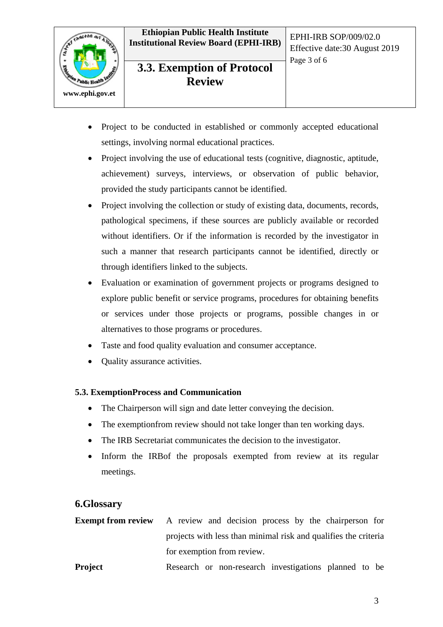**Ethiopian Public Health Institute Institutional Review Board (EPHI-IRB)** EPHI-IRB SOP/009/02.0



**3.3. Exemption of Protocol Review**

- Project to be conducted in established or commonly accepted educational settings, involving normal educational practices.
- Project involving the use of educational tests (cognitive, diagnostic, aptitude, achievement) surveys, interviews, or observation of public behavior, provided the study participants cannot be identified.
- Project involving the collection or study of existing data, documents, records, pathological specimens, if these sources are publicly available or recorded without identifiers. Or if the information is recorded by the investigator in such a manner that research participants cannot be identified, directly or through identifiers linked to the subjects.
- Evaluation or examination of government projects or programs designed to explore public benefit or service programs, procedures for obtaining benefits or services under those projects or programs, possible changes in or alternatives to those programs or procedures.
- Taste and food quality evaluation and consumer acceptance.
- Quality assurance activities.

### **5.3. ExemptionProcess and Communication**

- The Chairperson will sign and date letter conveying the decision.
- The exemption from review should not take longer than ten working days.
- The IRB Secretariat communicates the decision to the investigator.
- Inform the IRBof the proposals exempted from review at its regular meetings.

### **6.Glossary**

| <b>Exempt from review</b> A review and decision process by the chairperson for |
|--------------------------------------------------------------------------------|
| projects with less than minimal risk and qualifies the criteria                |
| for exemption from review.                                                     |
|                                                                                |

**Project** Research or non-research investigations planned to be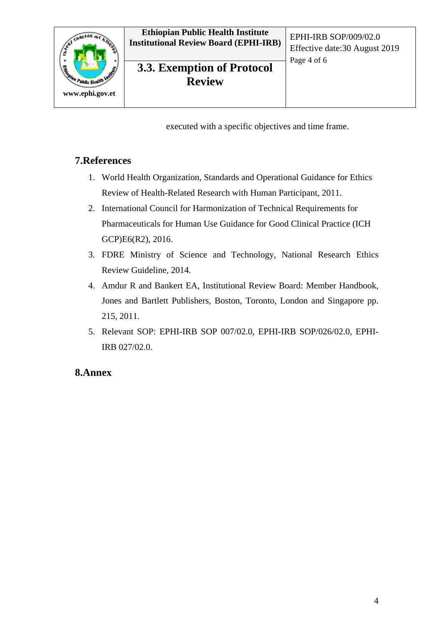

## **3.3. Exemption of Protocol Review**

executed with a specific objectives and time frame.

### **7.References**

- 1. World Health Organization, Standards and Operational Guidance for Ethics Review of Health-Related Research with Human Participant, 2011.
- 2. International Council for Harmonization of Technical Requirements for Pharmaceuticals for Human Use Guidance for Good Clinical Practice (ICH GCP)E6(R2), 2016.
- 3. FDRE Ministry of Science and Technology, National Research Ethics Review Guideline, 2014.
- 4. Amdur R and Bankert EA, Institutional Review Board: Member Handbook, Jones and Bartlett Publishers, Boston, Toronto, London and Singapore pp. 215, 2011.
- 5. Relevant SOP: EPHI-IRB SOP 007/02.0, EPHI-IRB SOP/026/02.0, EPHI-IRB 027/02.0.

### **8.Annex**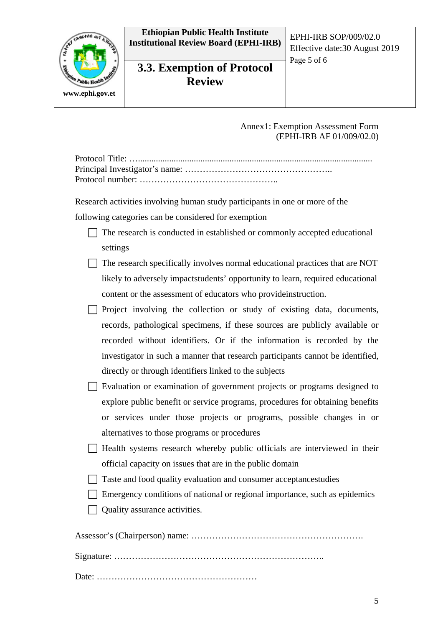

**Ethiopian Public Health Institute Institutional Review Board (EPHI-IRB)** EPHI-IRB SOP/009/02.0

# **3.3. Exemption of Protocol Review**

Effective date:30 August 2019 Page 5 of 6

Annex1: Exemption Assessment Form (EPHI-IRB AF 01/009/02.0)

Research activities involving human study participants in one or more of the following categories can be considered for exemption

| $\Box$ The research is conducted in established or commonly accepted educational |
|----------------------------------------------------------------------------------|
| settings                                                                         |

- $\Box$  The research specifically involves normal educational practices that are NOT likely to adversely impactstudents' opportunity to learn, required educational content or the assessment of educators who provideinstruction.
- $\Box$  Project involving the collection or study of existing data, documents, records, pathological specimens, if these sources are publicly available or recorded without identifiers. Or if the information is recorded by the investigator in such a manner that research participants cannot be identified, directly or through identifiers linked to the subjects
- Evaluation or examination of government projects or programs designed to explore public benefit or service programs, procedures for obtaining benefits or services under those projects or programs, possible changes in or alternatives to those programs or procedures
- $\Box$  Health systems research whereby public officials are interviewed in their official capacity on issues that are in the public domain
- $\Box$  Taste and food quality evaluation and consumer acceptancestudies
- $\Box$  Emergency conditions of national or regional importance, such as epidemics
- $\Box$  Quality assurance activities.